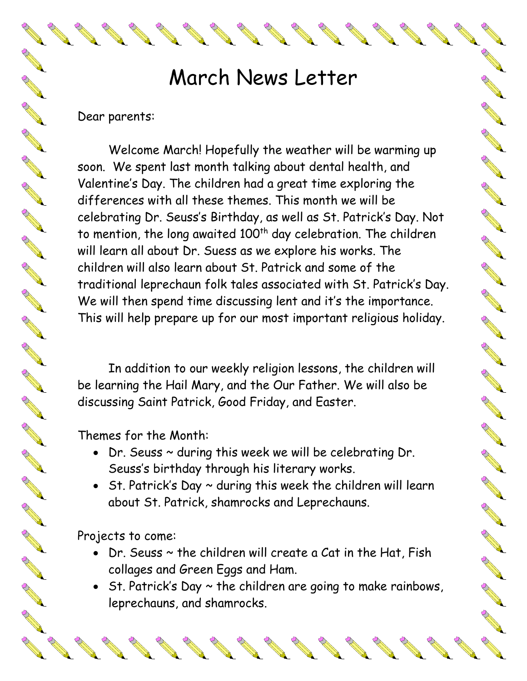## March News Letter

A Britton

**ANTICOLOGICAL RESPONSER** 

A RIVER

R R.

A REA

**AND ROAD** 

A A R

**CONTROLLER** 

**RANT** 

**Contract Red** 

A REAL

A REA

A REA

A March 19

A Red

A REA

AND TO

**RANCISCO** 

## Dear parents:

REGISTER

A REA

A March

A Red

A AND

A March

**ANTICOLOGICA** 

A AND

B Road

A March

RANT R

RANT R

RANT R

A March 1

A REA

A REA

A REA

A Read

A A A

A REA

A REA

A REA

A Red

Welcome March! Hopefully the weather will be warming up soon. We spent last month talking about dental health, and Valentine's Day. The children had a great time exploring the differences with all these themes. This month we will be celebrating Dr. Seuss's Birthday, as well as St. Patrick's Day. Not to mention, the long awaited  $100<sup>th</sup>$  day celebration. The children will learn all about Dr. Suess as we explore his works. The children will also learn about St. Patrick and some of the traditional leprechaun folk tales associated with St. Patrick's Day. We will then spend time discussing lent and it's the importance. This will help prepare up for our most important religious holiday.

In addition to our weekly religion lessons, the children will be learning the Hail Mary, and the Our Father. We will also be discussing Saint Patrick, Good Friday, and Easter.

Themes for the Month:

- Dr. Seuss ~ during this week we will be celebrating Dr. Seuss's birthday through his literary works.
- St. Patrick's Day  $\sim$  during this week the children will learn about St. Patrick, shamrocks and Leprechauns.

Projects to come:

- Dr. Seuss  $\sim$  the children will create a Cat in the Hat, Fish collages and Green Eggs and Ham.
- St. Patrick's Day  $\sim$  the children are going to make rainbows, leprechauns, and shamrocks.